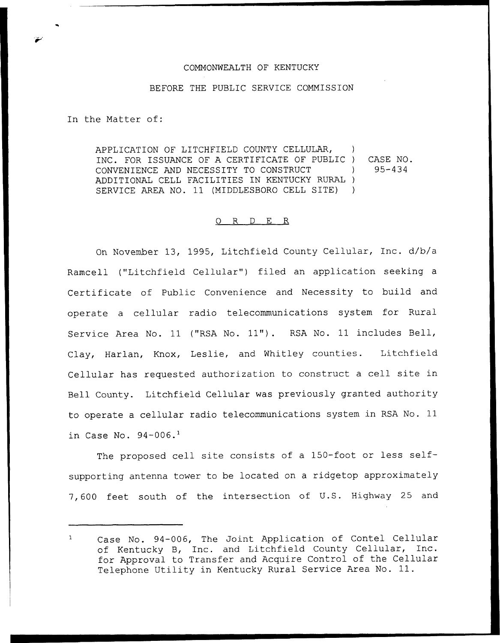## COMMONWEALTH OF KENTUCKY

## BEFORE THE PUBLIC SERVICE COMMISSION

In the Matter of:

APPLICATION OF LITCHFIELD COUNTY CELLULAR, ) INC. FOR ISSUANCE OF A CERTIFICATE OF PUBLIC ) CASE NO. CONVENIENCE AND NECESSITY TO CONSTRUCT ) ADDITIONAL CELL FACILITIES IN KENTUCKY RURAL ) SERVICE AREA NO. 11 (MIDDLESBORO CELL SITE) ) 95-434

## O R D E R

On November 13, 1995, Litchfield County Cellular, Inc. d/b/a Ramcell ("Litchfield Cellular") filed an application seeking a Certificate of Public Convenience and Necessity to build and operate a cellular radio telecommunications system for Rural Service Area No. 11 ("RSA No. 11"). RSA No. 11 includes Bell, Clay, Harlan, Knox, Leslie, and Whitley counties. Litchfield Cellular has requested authorization to construct <sup>a</sup> cell site in Bell County. Litchfield Cellular was previously granted authority to operate a cellular radio telecommunications system in RSA No. 11 in Case No.  $94-006.$ <sup>1</sup>

The proposed cell site consists of a 150-foot or less selfsupporting antenna tower to be located on a ridgetop approximately 7, 600 feet south of the intersection of U.S. Highway 25 and

Case No. 94-006, The Joint Application of Contel Cellular  $\uparrow$ of Kentucky B, Inc. and Litchfield County Cellular, Inc. for Approval to Transfer and Acquire Control of the Cellular Telephone Utility in Kentucky Rural Service Area No. 11.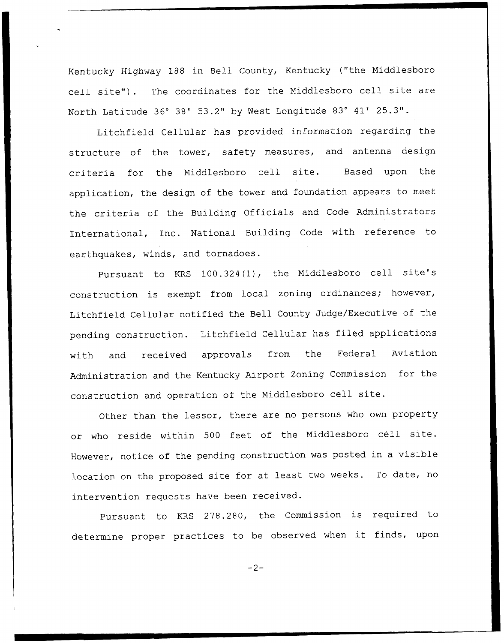Kentucky Highway 188 in Bell County, Kentucky ("the Middlesboro cell site") . The coordinates for the Middlesboro cell site are North Latitude 36° 38' 53.2" by West Longitude 83° 41' 25.3".

Litchfield Cellular has provided information regarding the structure of the tower, safety measures, and antenna design criteria for the Middlesboro cell site. Based upon the application, the design of the tower and foundation appears to meet the criteria of the Building Officials and Code Administrators International, Inc. National Building Code with reference to earthquakes, winds, and tornadoes.

Pursuant to KRS 100.324(1), the Middlesboro cell site's construction is exempt from local zoning ordinances; however, Litchfield Cellular notified the Bell County Judge/Executive of the pending construction. Litchfield Cellular has filed applications with and received approvals from the Federal Aviation Administration and the Kentucky Airport Zoning Commission for the construction and operation of the Middlesboro cell site.

Other than the lessor, there are no persons who own property or who reside within <sup>500</sup> feet of the Middlesboro cell site. However, notice of the pending construction was posted in <sup>a</sup> visible location on the proposed site for at least two weeks. To date, no intervention requests have been received.

Pursuant to KRS 278.280, the Commission is required to determine proper practices to be observed when it finds, upon

 $-2-$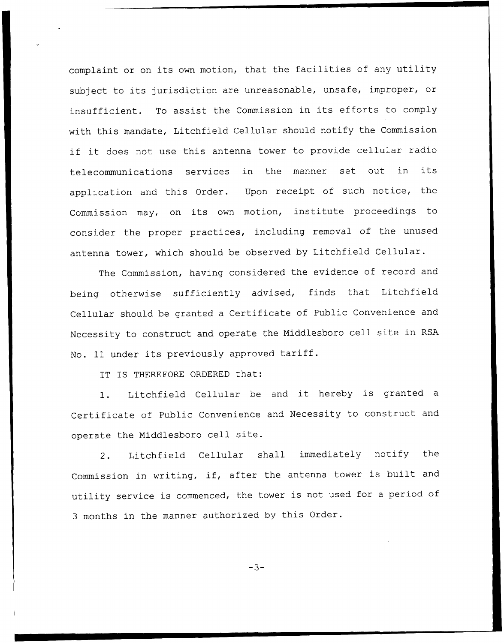complaint or on its own motion, that the facilities of any utility subject to its jurisdiction are unreasonable, unsafe, improper, or insufficient. To assist the Commission in its efforts to comply with this mandate, Litchfield Cellular should notify the Commission if it does not use this antenna tower to provide cellular radio telecommunications services in the manner set out in its application and this Order. Upon receipt of such notice, the Commission may, on its own motion, institute proceedings to consider the proper practices, including removal of the unused antenna tower, which should be observed by Litchfield Cellular.

The Commission, having considered the evidence of record and being otherwise sufficiently advised, finds that Litchfield Cellular should be granted <sup>a</sup> Certificate of Public Convenience and Necessity to construct and operate the Niddlesboro cell site in RSA No. <sup>11</sup> under its previously approved tariff.

IT IS THEREFORE ORDERED that:

1. Litchfield Cellular be and it hereby is granted <sup>a</sup> Certificate of Public Convenience and Necessity to construct and operate the Middlesboro cell site.

2. Litchfield Cellular shall immediately notify the Commission in writing, if, after the antenna tower is built and utility service is commenced, the tower is not used for <sup>a</sup> period of <sup>3</sup> months in the manner authorized by this Order.

 $-3-$